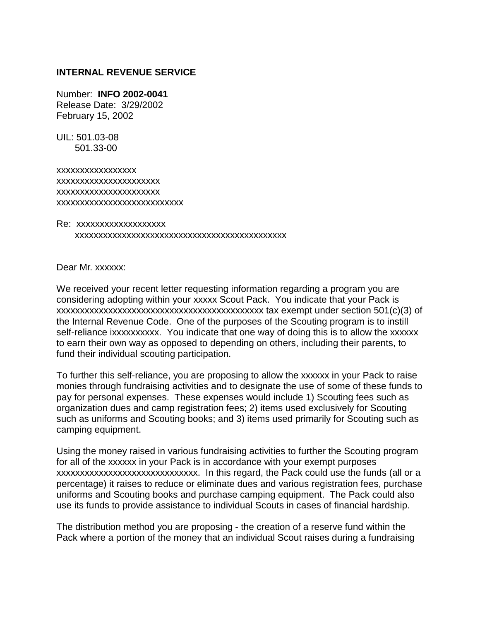## **INTERNAL REVENUE SERVICE**

Number: **INFO 2002-0041**  Release Date: 3/29/2002 February 15, 2002

UIL: 501.03-08 501.33-00

xxxxxxxxxxxxxxxxx xxxxxxxxxxxxxxxxxxxxxx xxxxxxxxxxxxxxxxxxxxxx xxxxxxxxxxxxxxxxxxxxxxxxxxx

Re: xxxxxxxxxxxxxxxxxxx xxxxxxxxxxxxxxxxxxxxxxxxxxxxxxxxxxxxxxxxxxxxx

Dear Mr. xxxxxx:

We received your recent letter requesting information regarding a program you are considering adopting within your xxxxx Scout Pack. You indicate that your Pack is xxxxxxxxxxxxxxxxxxxxxxxxxxxxxxxxxxxxxxxxxxxx tax exempt under section 501(c)(3) of the Internal Revenue Code. One of the purposes of the Scouting program is to instill self-reliance ixxxxxxxxxx. You indicate that one way of doing this is to allow the xxxxxx to earn their own way as opposed to depending on others, including their parents, to fund their individual scouting participation.

To further this self-reliance, you are proposing to allow the xxxxxx in your Pack to raise monies through fundraising activities and to designate the use of some of these funds to pay for personal expenses. These expenses would include 1) Scouting fees such as organization dues and camp registration fees; 2) items used exclusively for Scouting such as uniforms and Scouting books; and 3) items used primarily for Scouting such as camping equipment.

Using the money raised in various fundraising activities to further the Scouting program for all of the xxxxxx in your Pack is in accordance with your exempt purposes xxxxxxxxxxxxxxxxxxxxxxxxxxxxxx. In this regard, the Pack could use the funds (all or a percentage) it raises to reduce or eliminate dues and various registration fees, purchase uniforms and Scouting books and purchase camping equipment. The Pack could also use its funds to provide assistance to individual Scouts in cases of financial hardship.

The distribution method you are proposing - the creation of a reserve fund within the Pack where a portion of the money that an individual Scout raises during a fundraising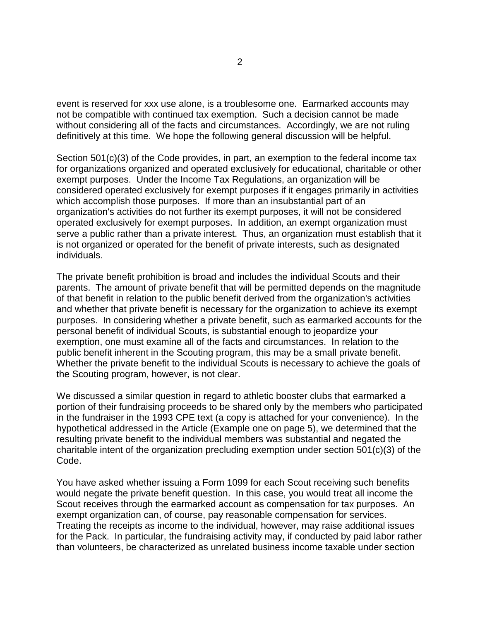event is reserved for xxx use alone, is a troublesome one. Earmarked accounts may not be compatible with continued tax exemption. Such a decision cannot be made without considering all of the facts and circumstances. Accordingly, we are not ruling definitively at this time. We hope the following general discussion will be helpful.

Section 501(c)(3) of the Code provides, in part, an exemption to the federal income tax for organizations organized and operated exclusively for educational, charitable or other exempt purposes. Under the Income Tax Regulations, an organization will be considered operated exclusively for exempt purposes if it engages primarily in activities which accomplish those purposes. If more than an insubstantial part of an organization's activities do not further its exempt purposes, it will not be considered operated exclusively for exempt purposes. In addition, an exempt organization must serve a public rather than a private interest. Thus, an organization must establish that it is not organized or operated for the benefit of private interests, such as designated individuals.

The private benefit prohibition is broad and includes the individual Scouts and their parents. The amount of private benefit that will be permitted depends on the magnitude of that benefit in relation to the public benefit derived from the organization's activities and whether that private benefit is necessary for the organization to achieve its exempt purposes. In considering whether a private benefit, such as earmarked accounts for the personal benefit of individual Scouts, is substantial enough to jeopardize your exemption, one must examine all of the facts and circumstances. In relation to the public benefit inherent in the Scouting program, this may be a small private benefit. Whether the private benefit to the individual Scouts is necessary to achieve the goals of the Scouting program, however, is not clear.

We discussed a similar question in regard to athletic booster clubs that earmarked a portion of their fundraising proceeds to be shared only by the members who participated in the fundraiser in the 1993 CPE text (a copy is attached for your convenience). In the hypothetical addressed in the Article (Example one on page 5), we determined that the resulting private benefit to the individual members was substantial and negated the charitable intent of the organization precluding exemption under section 501(c)(3) of the Code.

You have asked whether issuing a Form 1099 for each Scout receiving such benefits would negate the private benefit question. In this case, you would treat all income the Scout receives through the earmarked account as compensation for tax purposes. An exempt organization can, of course, pay reasonable compensation for services. Treating the receipts as income to the individual, however, may raise additional issues for the Pack. In particular, the fundraising activity may, if conducted by paid labor rather than volunteers, be characterized as unrelated business income taxable under section